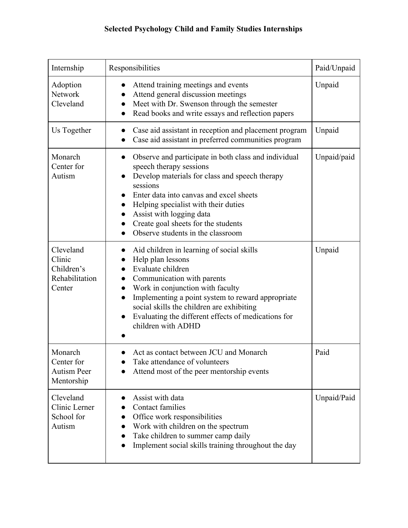## **Selected Psychology Child and Family Studies Internships**

| Internship                                                    | Responsibilities                                                                                                                                                                                                                                                                                                                                                            | Paid/Unpaid |
|---------------------------------------------------------------|-----------------------------------------------------------------------------------------------------------------------------------------------------------------------------------------------------------------------------------------------------------------------------------------------------------------------------------------------------------------------------|-------------|
| Adoption<br>Network<br>Cleveland                              | Attend training meetings and events<br>Attend general discussion meetings<br>Meet with Dr. Swenson through the semester<br>$\bullet$<br>Read books and write essays and reflection papers<br>$\bullet$                                                                                                                                                                      | Unpaid      |
| Us Together                                                   | Case aid assistant in reception and placement program<br>Case aid assistant in preferred communities program                                                                                                                                                                                                                                                                | Unpaid      |
| Monarch<br>Center for<br>Autism                               | Observe and participate in both class and individual<br>$\bullet$<br>speech therapy sessions<br>Develop materials for class and speech therapy<br>sessions<br>Enter data into canvas and excel sheets<br>Helping specialist with their duties<br>$\bullet$<br>Assist with logging data<br>Create goal sheets for the students<br>Observe students in the classroom          | Unpaid/paid |
| Cleveland<br>Clinic<br>Children's<br>Rehabilitation<br>Center | Aid children in learning of social skills<br>Help plan lessons<br>Evaluate children<br>Communication with parents<br>$\bullet$<br>Work in conjunction with faculty<br>$\bullet$<br>Implementing a point system to reward appropriate<br>$\bullet$<br>social skills the children are exhibiting<br>Evaluating the different effects of medications for<br>children with ADHD | Unpaid      |
| Monarch<br>Center for<br><b>Autism Peer</b><br>Mentorship     | Act as contact between JCU and Monarch<br>Take attendance of volunteers<br>Attend most of the peer mentorship events                                                                                                                                                                                                                                                        | Paid        |
| Cleveland<br>Clinic Lerner<br>School for<br>Autism            | Assist with data<br>Contact families<br>Office work responsibilities<br>Work with children on the spectrum<br>Take children to summer camp daily<br>Implement social skills training throughout the day                                                                                                                                                                     | Unpaid/Paid |